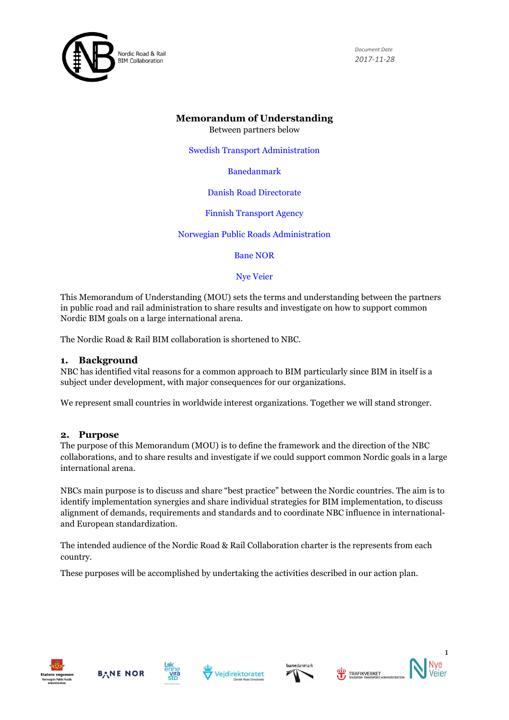

# **Memorandum of Understanding**

Between partners below

Swedish Transport Administration

Banedanmark

#### Danish Road Directorate

Finnish Transport Agency

Norwegian Public Roads Administration

Bane NOR

Nye Veier

This Memorandum of Understanding (MOU) sets the terms and understanding between the partners in public road and rail administration to share results and investigate on how to support common Nordic BIM goals on a large international arena.

The Nordic Road & Rail BIM collaboration is shortened to NBC.

### **1. Background**

NBC has identified vital reasons for a common approach to BIM particularly since BIM in itself is a subject under development, with major consequences for our organizations.

We represent small countries in worldwide interest organizations. Together we will stand stronger.

#### **2. Purpose**

The purpose of this Memorandum (MOU) is to define the framework and the direction of the NBC collaborations, and to share results and investigate if we could support common Nordic goals in a large international arena.

NBCs main purpose is to discuss and share "best practice" between the Nordic countries. The aim is to identify implementation synergies and share individual strategies for BIM implementation, to discuss alignment of demands, requirements and standards and to coordinate NBC influence in internationaland European standardization.

The intended audience of the Nordic Road & Rail Collaboration charter is the represents from each country.

These purposes will be accomplished by undertaking the activities described in our action plan.













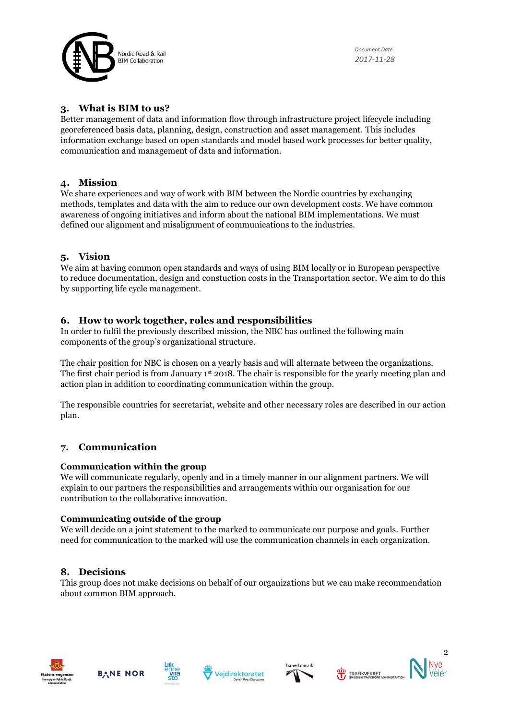

### **3. What is BIM to us?**

Better management of data and information flow through infrastructure project lifecycle including georeferenced basis data, planning, design, construction and asset management. This includes information exchange based on open standards and model based work processes for better quality, communication and management of data and information.

### **4. Mission**

We share experiences and way of work with BIM between the Nordic countries by exchanging methods, templates and data with the aim to reduce our own development costs. We have common awareness of ongoing initiatives and inform about the national BIM implementations. We must defined our alignment and misalignment of communications to the industries.

# **5. Vision**

We aim at having common open standards and ways of using BIM locally or in European perspective to reduce documentation, design and constuction costs in the Transportation sector. We aim to do this by supporting life cycle management.

# **6. How to work together, roles and responsibilities**

In order to fulfil the previously described mission, the NBC has outlined the following main components of the group's organizational structure.

The chair position for NBC is chosen on a yearly basis and will alternate between the organizations. The first chair period is from January 1st 2018. The chair is responsible for the yearly meeting plan and action plan in addition to coordinating communication within the group.

The responsible countries for secretariat, website and other necessary roles are described in our action plan.

# **7. Communication**

#### **Communication within the group**

We will communicate regularly, openly and in a timely manner in our alignment partners. We will explain to our partners the responsibilities and arrangements within our organisation for our contribution to the collaborative innovation.

#### **Communicating outside of the group**

We will decide on a joint statement to the marked to communicate our purpose and goals. Further need for communication to the marked will use the communication channels in each organization.

#### **8. Decisions**

This group does not make decisions on behalf of our organizations but we can make recommendation about common BIM approach.













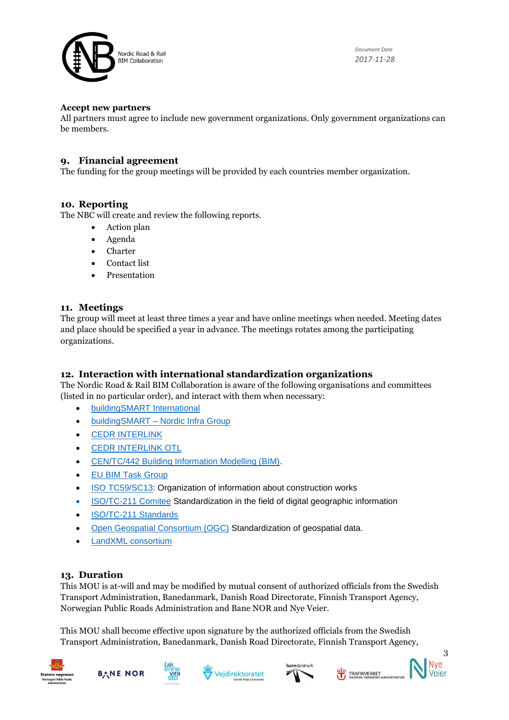

#### **Accept new partners**

All partners must agree to include new government organizations. Only government organizations can be members.

# **9. Financial agreement**

The funding for the group meetings will be provided by each countries member organization.

### **10. Reporting**

The NBC will create and review the following reports.

- Action plan
- Agenda
- Charter
- Contact list
- Presentation

### **11. Meetings**

The group will meet at least three times a year and have online meetings when needed. Meeting dates and place should be specified a year in advance. The meetings rotates among the participating organizations.

# **12. Interaction with international standardization organizations**

The Nordic Road & Rail BIM Collaboration is aware of the following organisations and committees (listed in no particular order), and interact with them when necessary:

- [buildingSMART International](http://www.buildingsmart.org/)
- buildingSMART [Nordic Infra Group](http://www.buildingsmartnordic.org/)
- [CEDR INTERLINK](http://www.cedr.eu/strategic-plan-tasks/research/cedr-call-2015/call-2015-asset-information-using-bim/interlink/)
- [CEDR INTERLINK OTL](http://www.roadotl.eu/)
- [CEN/TC/442 Building Information Modelling \(BIM\).](https://standards.cen.eu/dyn/www/f?p=204:7:0::::FSP_ORG_ID:1991542&cs=16AAC0F2C377A541DCA571910561FC17F)
- [EU BIM Task Group](http://www.eubim.eu/)
- [ISO TC59/SC13:](https://www.iso.org/committee/49180.html) Organization of information about construction works
- ISO/TC-211 Comitee [Standardization in the field of digital geographic information](https://committee.iso.org/home/tc211)
- [ISO/TC-211 Standards](https://www.iso.org/committee/54904.html)
- [Open Geospatial Consortium \(OGC\)](http://www.opengeospatial.org/ogc/members) Standardization of geospatial data.
- [LandXML consortium](http://landxml.org/)

# **13. Duration**

This MOU is at-will and may be modified by mutual consent of authorized officials from the Swedish Transport Administration, Banedanmark, Danish Road Directorate, Finnish Transport Agency, Norwegian Public Roads Administration and Bane NOR and Nye Veier.

This MOU shall become effective upon signature by the authorized officials from the Swedish Transport Administration, Banedanmark, Danish Road Directorate, Finnish Transport Agency,